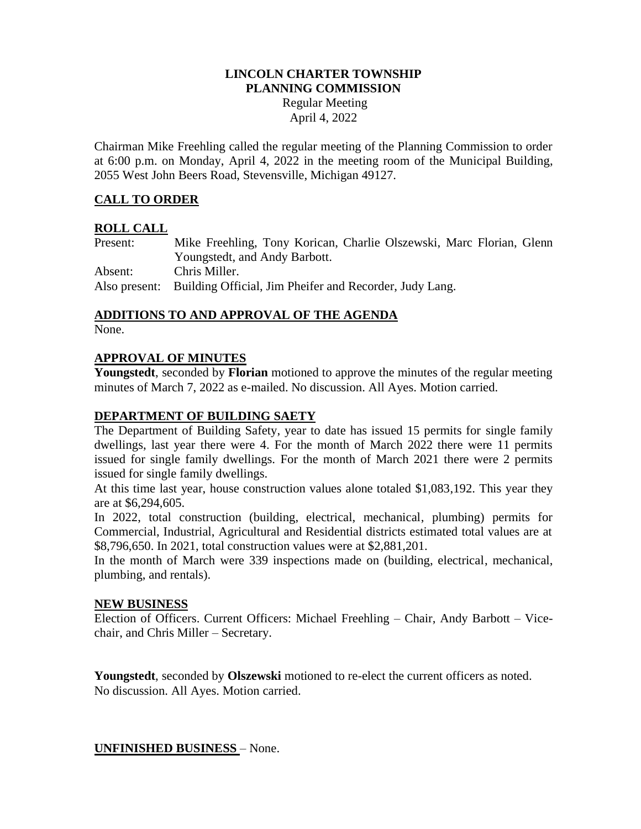## **LINCOLN CHARTER TOWNSHIP PLANNING COMMISSION**

Regular Meeting April 4, 2022

Chairman Mike Freehling called the regular meeting of the Planning Commission to order at 6:00 p.m. on Monday, April 4, 2022 in the meeting room of the Municipal Building, 2055 West John Beers Road, Stevensville, Michigan 49127.

# **CALL TO ORDER**

## **ROLL CALL**

Present: Mike Freehling, Tony Korican, Charlie Olszewski, Marc Florian, Glenn Youngstedt, and Andy Barbott. Absent: Chris Miller. Also present: Building Official, Jim Pheifer and Recorder, Judy Lang.

## **ADDITIONS TO AND APPROVAL OF THE AGENDA**

None.

## **APPROVAL OF MINUTES**

**Youngstedt**, seconded by **Florian** motioned to approve the minutes of the regular meeting minutes of March 7, 2022 as e-mailed. No discussion. All Ayes. Motion carried.

## **DEPARTMENT OF BUILDING SAETY**

The Department of Building Safety, year to date has issued 15 permits for single family dwellings, last year there were 4. For the month of March 2022 there were 11 permits issued for single family dwellings. For the month of March 2021 there were 2 permits issued for single family dwellings.

At this time last year, house construction values alone totaled \$1,083,192. This year they are at \$6,294,605.

In 2022, total construction (building, electrical, mechanical, plumbing) permits for Commercial, Industrial, Agricultural and Residential districts estimated total values are at \$8,796,650. In 2021, total construction values were at \$2,881,201.

In the month of March were 339 inspections made on (building, electrical, mechanical, plumbing, and rentals).

#### **NEW BUSINESS**

Election of Officers. Current Officers: Michael Freehling – Chair, Andy Barbott – Vicechair, and Chris Miller – Secretary.

**Youngstedt**, seconded by **Olszewski** motioned to re-elect the current officers as noted. No discussion. All Ayes. Motion carried.

### **UNFINISHED BUSINESS** – None.